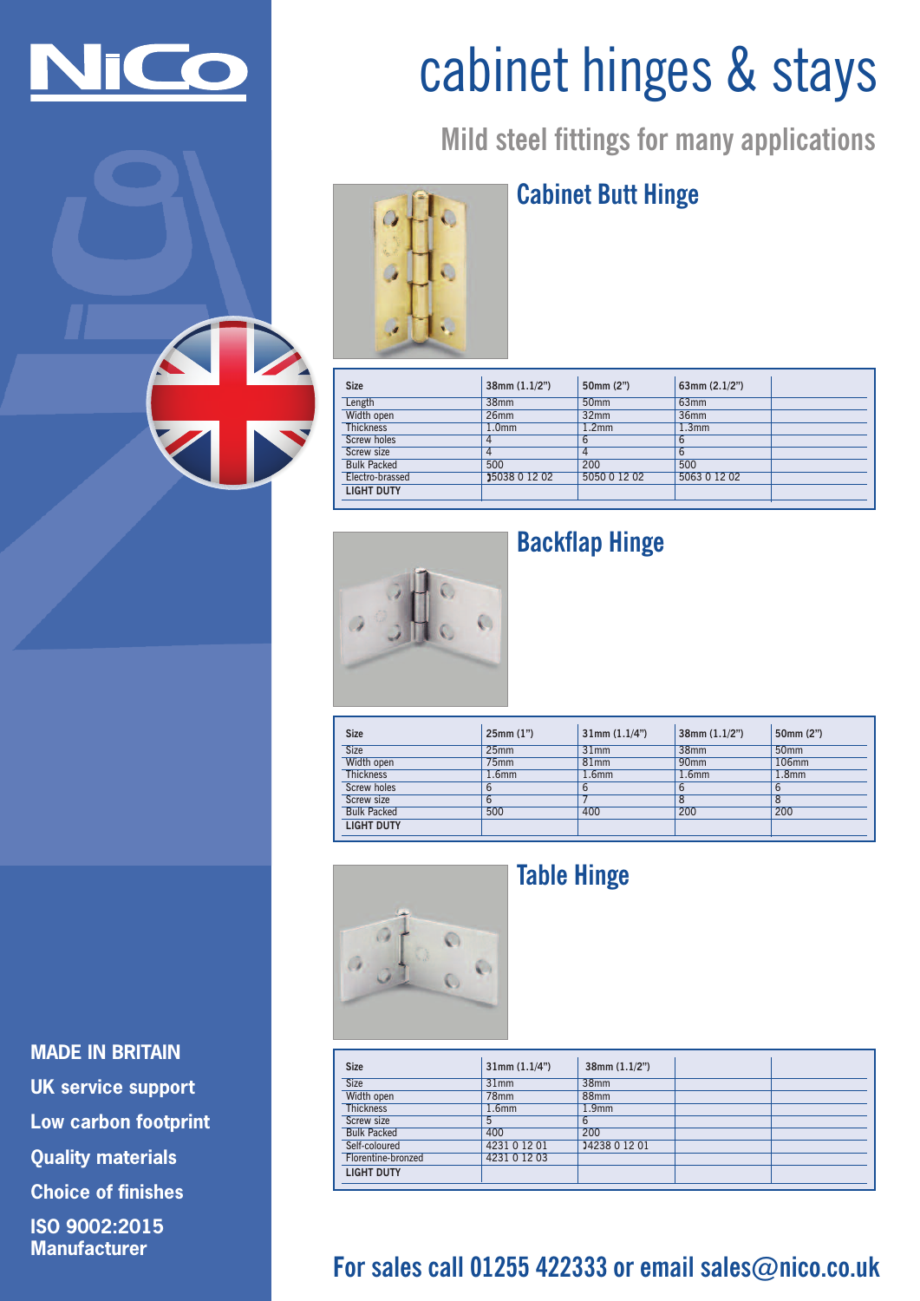

# cabinet hinges & stays

**Mild steel fittings for many applications**

#### **Cabinet Butt Hinge**

| <b>Size</b>        | 38mm(1.1/2")      | 50mm (2")         | 63mm $(2.1/2")$   |  |
|--------------------|-------------------|-------------------|-------------------|--|
| Length             | 38 <sub>mm</sub>  | 50 <sub>mm</sub>  | 63 <sub>mm</sub>  |  |
| Width open         | 26 <sub>mm</sub>  | 32 <sub>mm</sub>  | 36 <sub>mm</sub>  |  |
| <b>Thickness</b>   | 1.0 <sub>mm</sub> | 1.2 <sub>mm</sub> | 1.3 <sub>mm</sub> |  |
| Screw holes        | 4                 | 6                 | 6                 |  |
| Screw size         | 4                 | 4                 | 6                 |  |
| <b>Bulk Packed</b> | 500               | 200               | 500               |  |
| Electro-brassed    | 15038 0 12 02     | 5050 0 12 02      | 5063 0 12 02      |  |
| <b>LIGHT DUTY</b>  |                   |                   |                   |  |



# **Backflap Hinge**

| <b>Size</b>        | 25mm(1")          | 31mm(1.1/4")      | $38$ mm $(1.1/2")$ | 50mm (2")         |
|--------------------|-------------------|-------------------|--------------------|-------------------|
| <b>Size</b>        | 25 <sub>mm</sub>  | 31mm              | 38 <sub>mm</sub>   | 50 <sub>mm</sub>  |
| Width open         | 75 <sub>mm</sub>  | 81mm              | 90 <sub>mm</sub>   | 106mm             |
| <b>Thickness</b>   | 1.6 <sub>mm</sub> | 1.6 <sub>mm</sub> | 1.6 <sub>mm</sub>  | 1.8 <sub>mm</sub> |
| Screw holes        | b                 | 6                 |                    | 6                 |
| Screw size         | 6                 |                   |                    |                   |
| <b>Bulk Packed</b> | 500               | 400               | 200                | 200               |
| <b>LIGHT DUTY</b>  |                   |                   |                    |                   |



## **Table Hinge**

| <b>Size</b>        | 31mm(1.1/4")      | $38$ mm $(1.1/2")$ |  |
|--------------------|-------------------|--------------------|--|
| <b>Size</b>        | 31mm              | 38mm               |  |
| Width open         | 78 <sub>mm</sub>  | 88 <sub>mm</sub>   |  |
| <b>Thickness</b>   | 1.6 <sub>mm</sub> | 1.9 <sub>mm</sub>  |  |
| Screw size         | 5                 | 6                  |  |
| <b>Bulk Packed</b> | 400               | 200                |  |
| Self-coloured      | 4231 0 12 01      | 14238 0 12 01      |  |
| Florentine-bronzed | 4231 0 12 03      |                    |  |
| <b>LIGHT DUTY</b>  |                   |                    |  |

# **For sales call 01255 422333 or email sales@nico.co.uk**

**MADE IN BRITAIN UK service support Low carbon footprint Quality materials Choice of finishes ISO 9002:2015 Manufacturer**